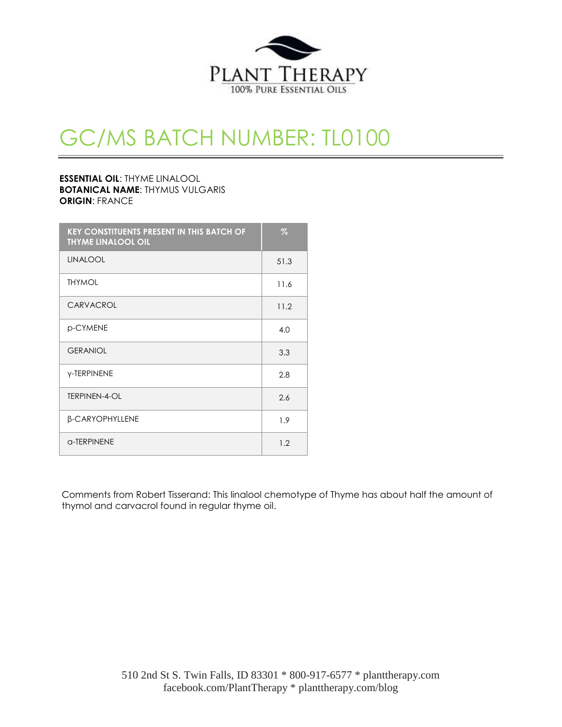

# GC/MS BATCH NUMBER: TL0100

## **ESSENTIAL OIL**: THYME LINALOOL **BOTANICAL NAME**: THYMUS VULGARIS **ORIGIN**: FRANCE

| <b>KEY CONSTITUENTS PRESENT IN THIS BATCH OF</b><br><b>THYME LINALOOL OIL</b> | $\%$ |
|-------------------------------------------------------------------------------|------|
| <b>LINALOOL</b>                                                               | 51.3 |
| <b>THYMOL</b>                                                                 | 11.6 |
| CARVACROL                                                                     | 11.2 |
| p-CYMENE                                                                      | 4.0  |
| <b>GERANIOL</b>                                                               | 3.3  |
| <b>Y-TERPINENE</b>                                                            | 2.8  |
| TERPINEN-4-OL                                                                 | 2.6  |
| β-CARYOPHYLLENE                                                               | 1.9  |
| a-TERPINENE                                                                   | 1.2  |

Comments from Robert Tisserand: This linalool chemotype of Thyme has about half the amount of thymol and carvacrol found in regular thyme oil.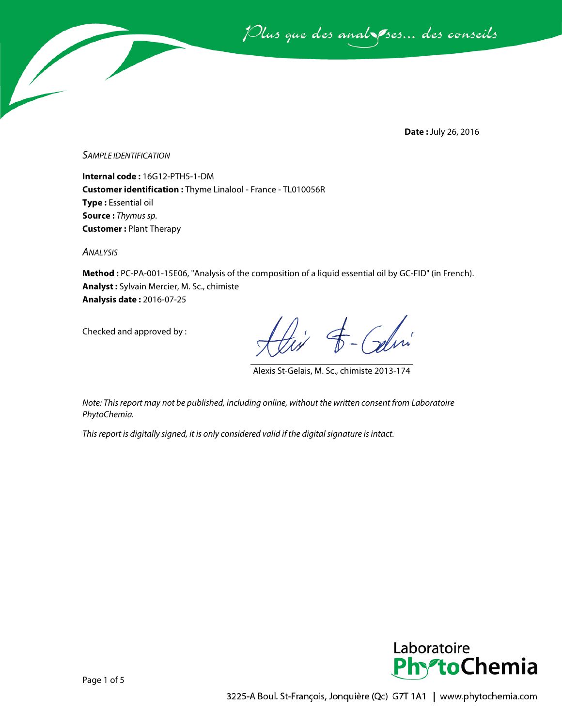Plus que des analsses... des conseils

**Date :** July 26, 2016

*SAMPLE IDENTIFICATION*

**Internal code :** 16G12-PTH5-1-DM **Customer identification :** Thyme Linalool - France - TL010056R **Type :** Essential oil **Source :** *Thymus sp.* **Customer :** Plant Therapy

*ANALYSIS*

**Method :** PC-PA-001-15E06, "Analysis of the composition of a liquid essential oil by GC-FID" (in French). **Analyst :** Sylvain Mercier, M. Sc., chimiste **Analysis date :** 2016-07-25

Checked and approved by :

 $\overline{t}$  - Calmi

Alexis St-Gelais, M. Sc., chimiste 2013-174

*Note: This report may not be published, including online, without the written consent from Laboratoire PhytoChemia.*

*This report is digitally signed, it is only considered valid if the digital signature is intact.*

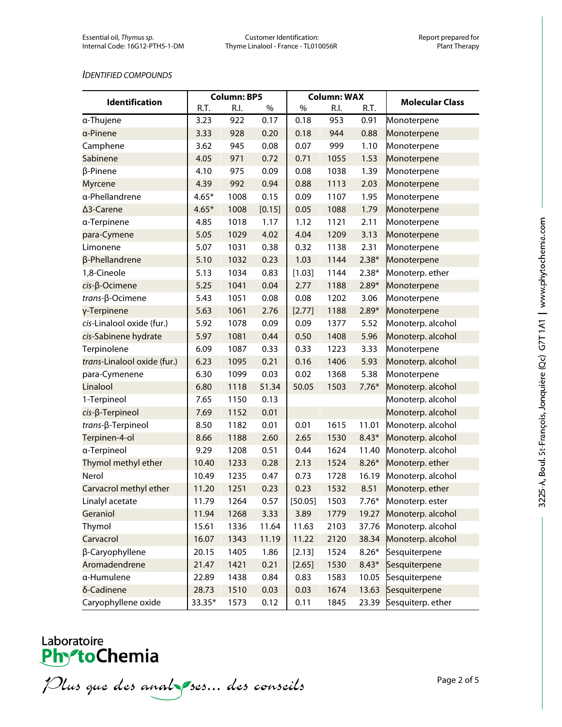#### *IDENTIFIED COMPOUNDS*

| <b>Identification</b>       | <b>Column: BP5</b> |      | <b>Column: WAX</b> |         |      |         |                         |
|-----------------------------|--------------------|------|--------------------|---------|------|---------|-------------------------|
|                             | R.T.               | R.I. | $\%$               | $\%$    | R.I. | R.T.    | <b>Molecular Class</b>  |
| α-Thujene                   | 3.23               | 922  | 0.17               | 0.18    | 953  | 0.91    | Monoterpene             |
| a-Pinene                    | 3.33               | 928  | 0.20               | 0.18    | 944  | 0.88    | Monoterpene             |
| Camphene                    | 3.62               | 945  | 0.08               | 0.07    | 999  | 1.10    | Monoterpene             |
| Sabinene                    | 4.05               | 971  | 0.72               | 0.71    | 1055 | 1.53    | Monoterpene             |
| β-Pinene                    | 4.10               | 975  | 0.09               | 0.08    | 1038 | 1.39    | Monoterpene             |
| Myrcene                     | 4.39               | 992  | 0.94               | 0.88    | 1113 | 2.03    | Monoterpene             |
| a-Phellandrene              | $4.65*$            | 1008 | 0.15               | 0.09    | 1107 | 1.95    | Monoterpene             |
| ∆3-Carene                   | $4.65*$            | 1008 | [0.15]             | 0.05    | 1088 | 1.79    | Monoterpene             |
| a-Terpinene                 | 4.85               | 1018 | 1.17               | 1.12    | 1121 | 2.11    | Monoterpene             |
| para-Cymene                 | 5.05               | 1029 | 4.02               | 4.04    | 1209 | 3.13    | Monoterpene             |
| Limonene                    | 5.07               | 1031 | 0.38               | 0.32    | 1138 | 2.31    | Monoterpene             |
| β-Phellandrene              | 5.10               | 1032 | 0.23               | 1.03    | 1144 | $2.38*$ | Monoterpene             |
| 1,8-Cineole                 | 5.13               | 1034 | 0.83               | [1.03]  | 1144 | $2.38*$ | Monoterp. ether         |
| $cis$ - $\beta$ -Ocimene    | 5.25               | 1041 | 0.04               | 2.77    | 1188 | $2.89*$ | Monoterpene             |
| $trans-\beta-Ocimene$       | 5.43               | 1051 | 0.08               | 0.08    | 1202 | 3.06    | Monoterpene             |
| γ-Terpinene                 | 5.63               | 1061 | 2.76               | [2.77]  | 1188 | $2.89*$ | Monoterpene             |
| cis-Linalool oxide (fur.)   | 5.92               | 1078 | 0.09               | 0.09    | 1377 | 5.52    | Monoterp. alcohol       |
| cis-Sabinene hydrate        | 5.97               | 1081 | 0.44               | 0.50    | 1408 | 5.96    | Monoterp. alcohol       |
| Terpinolene                 | 6.09               | 1087 | 0.33               | 0.33    | 1223 | 3.33    | Monoterpene             |
| trans-Linalool oxide (fur.) | 6.23               | 1095 | 0.21               | 0.16    | 1406 | 5.93    | Monoterp. alcohol       |
| para-Cymenene               | 6.30               | 1099 | 0.03               | 0.02    | 1368 | 5.38    | Monoterpene             |
| Linalool                    | 6.80               | 1118 | 51.34              | 50.05   | 1503 | $7.76*$ | Monoterp. alcohol       |
| 1-Terpineol                 | 7.65               | 1150 | 0.13               |         |      |         | Monoterp. alcohol       |
| cis-ß-Terpineol             | 7.69               | 1152 | 0.01               |         |      |         | Monoterp. alcohol       |
| trans-β-Terpineol           | 8.50               | 1182 | 0.01               | 0.01    | 1615 | 11.01   | Monoterp. alcohol       |
| Terpinen-4-ol               | 8.66               | 1188 | 2.60               | 2.65    | 1530 | $8.43*$ | Monoterp. alcohol       |
| a-Terpineol                 | 9.29               | 1208 | 0.51               | 0.44    | 1624 | 11.40   | Monoterp. alcohol       |
| Thymol methyl ether         | 10.40              | 1233 | 0.28               | 2.13    | 1524 | $8.26*$ | Monoterp. ether         |
| Nerol                       | 10.49              | 1235 | 0.47               | 0.73    | 1728 | 16.19   | Monoterp. alcohol       |
| Carvacrol methyl ether      | 11.20              | 1251 | 0.23               | 0.23    | 1532 | 8.51    | Monoterp. ether         |
| Linalyl acetate             | 11.79              | 1264 | 0.57               | [50.05] | 1503 | $7.76*$ | Monoterp. ester         |
| Geraniol                    | 11.94              | 1268 | 3.33               | 3.89    | 1779 | 19.27   | Monoterp. alcohol       |
| Thymol                      | 15.61              | 1336 | 11.64              | 11.63   | 2103 | 37.76   | Monoterp. alcohol       |
| Carvacrol                   | 16.07              | 1343 | 11.19              | 11.22   | 2120 | 38.34   | Monoterp. alcohol       |
| β-Caryophyllene             | 20.15              | 1405 | 1.86               | [2.13]  | 1524 | $8.26*$ | Sesquiterpene           |
| Aromadendrene               | 21.47              | 1421 | 0.21               | [2.65]  | 1530 | $8.43*$ | Sesquiterpene           |
| a-Humulene                  | 22.89              | 1438 | 0.84               | 0.83    | 1583 | 10.05   | Sesquiterpene           |
| δ-Cadinene                  | 28.73              | 1510 | 0.03               | 0.03    | 1674 | 13.63   | Sesquiterpene           |
| Caryophyllene oxide         | 33.35*             | 1573 | 0.12               | 0.11    | 1845 |         | 23.39 Sesquiterp. ether |

# Laboratoire<br>**Phy<sup>s</sup>toChemia**

Plus que des analzes... des conseils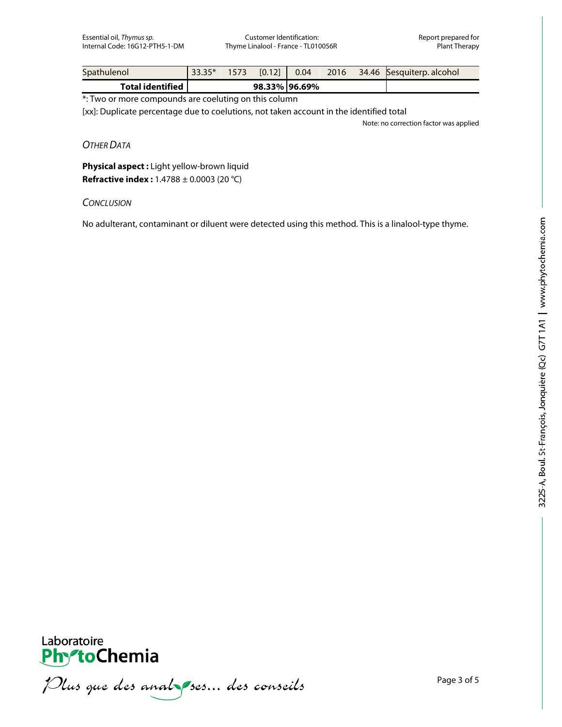Essential oil, *Thymus sp.* Customer Identification: Customer Identification: Report prepared for<br>Internal Code: 16G12-PTH5-1-DM Thyme Linalool - France - TL010056R Plant Therapy Thyme Linalool - France - TL010056R

| Spathulenol             | $\parallel$ 33.35* 1573 [0.12] $\parallel$ 0.04 |  |               |  | 2016 34.46 Sesquiterp alcohol |
|-------------------------|-------------------------------------------------|--|---------------|--|-------------------------------|
| <b>Total identified</b> |                                                 |  | 98.33% 96.69% |  |                               |

\*: Two or more compounds are coeluting on this column

[xx]: Duplicate percentage due to coelutions, not taken account in the identified total

Note: no correction factor was applied

*OTHER DATA*

**Physical aspect :** Light yellow-brown liquid **Refractive index :** 1.4788 ± 0.0003 (20 °C)

### *CONCLUSION*

No adulterant, contaminant or diluent were detected using this method. This is a linalool-type thyme.



Plus que des analzes... des conseils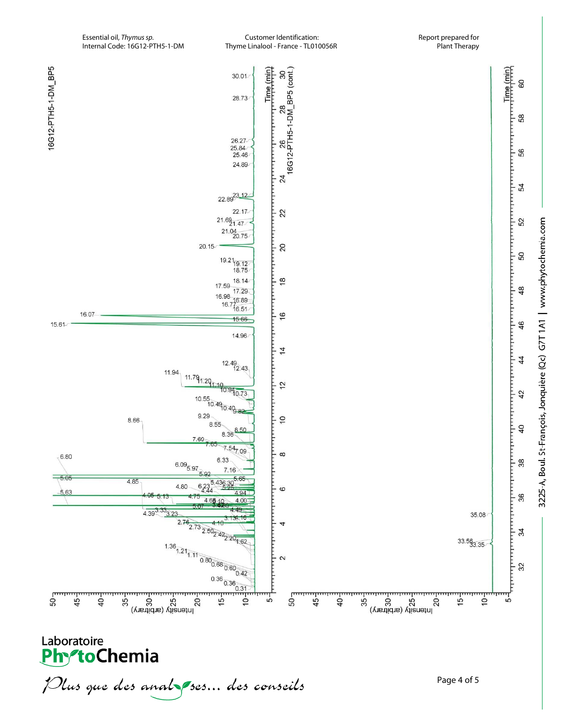

Thyme Linalool - France - TL010056R

Plus que des analzes... des conseils

Page 4 of 5